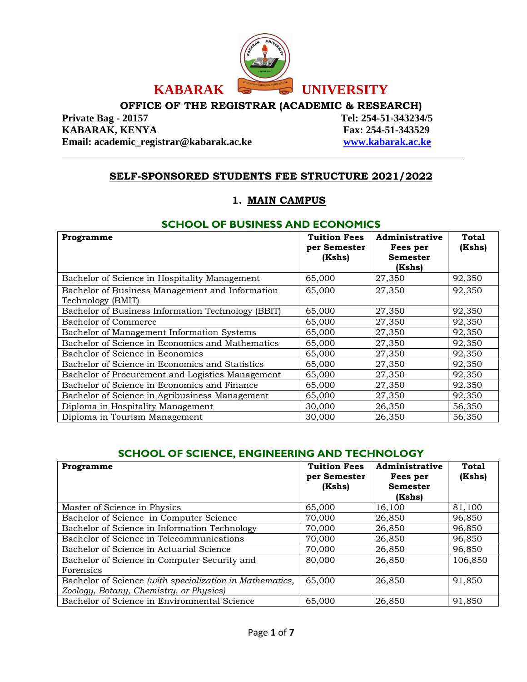

# **OFFICE OF THE REGISTRAR (ACADEMIC & RESEARCH)**<br>Private Bag - 20157 Tel: 254-51-343234

**KABARAK, KENYA Fax: 254-51-343529 Email: academic\_registrar@kabarak.ac.ke [www.kabarak.ac.ke](http://www.kabarak.ac.ke/)**

**Private Bag - 20157 Tel: 254-51-343234/5**

# **SELF-SPONSORED STUDENTS FEE STRUCTURE 2021/2022**

## **1. MAIN CAMPUS**

## **SCHOOL OF BUSINESS AND ECONOMICS**

| Programme                                          | <b>Tuition Fees</b><br>per Semester | Administrative<br>Fees per | Total<br>(Kshs) |
|----------------------------------------------------|-------------------------------------|----------------------------|-----------------|
|                                                    | (Kshs)                              | <b>Semester</b>            |                 |
|                                                    |                                     | (Kshs)                     |                 |
| Bachelor of Science in Hospitality Management      | 65,000                              | 27,350                     | 92,350          |
| Bachelor of Business Management and Information    | 65,000                              | 27,350                     | 92,350          |
| Technology (BMIT)                                  |                                     |                            |                 |
| Bachelor of Business Information Technology (BBIT) | 65,000                              | 27,350                     | 92,350          |
| Bachelor of Commerce                               | 65,000                              | 27,350                     | 92,350          |
| Bachelor of Management Information Systems         | 65,000                              | 27,350                     | 92,350          |
| Bachelor of Science in Economics and Mathematics   | 65,000                              | 27,350                     | 92,350          |
| Bachelor of Science in Economics                   | 65,000                              | 27,350                     | 92,350          |
| Bachelor of Science in Economics and Statistics    | 65,000                              | 27,350                     | 92,350          |
| Bachelor of Procurement and Logistics Management   | 65,000                              | 27,350                     | 92,350          |
| Bachelor of Science in Economics and Finance       | 65,000                              | 27,350                     | 92,350          |
| Bachelor of Science in Agribusiness Management     | 65,000                              | 27,350                     | 92,350          |
| Diploma in Hospitality Management                  | 30,000                              | 26,350                     | 56,350          |
| Diploma in Tourism Management                      | 30,000                              | 26,350                     | 56,350          |

# **SCHOOL OF SCIENCE, ENGINEERING AND TECHNOLOGY**

| Programme                                                | <b>Tuition Fees</b><br>per Semester<br>(Kshs) | Administrative<br>Fees per<br><b>Semester</b> | <b>Total</b><br>(Kshs) |
|----------------------------------------------------------|-----------------------------------------------|-----------------------------------------------|------------------------|
|                                                          |                                               | (Kshs)                                        |                        |
| Master of Science in Physics                             | 65,000                                        | 16,100                                        | 81,100                 |
| Bachelor of Science in Computer Science                  | 70,000                                        | 26,850                                        | 96,850                 |
| Bachelor of Science in Information Technology            | 70,000                                        | 26,850                                        | 96,850                 |
| Bachelor of Science in Telecommunications                | 70,000                                        | 26,850                                        | 96,850                 |
| Bachelor of Science in Actuarial Science                 | 70,000                                        | 26,850                                        | 96,850                 |
| Bachelor of Science in Computer Security and             | 80,000                                        | 26,850                                        | 106,850                |
| Forensics                                                |                                               |                                               |                        |
| Bachelor of Science (with specialization in Mathematics, | 65,000                                        | 26,850                                        | 91,850                 |
| Zoology, Botany, Chemistry, or Physics)                  |                                               |                                               |                        |
| Bachelor of Science in Environmental Science             | 65,000                                        | 26,850                                        | 91.850                 |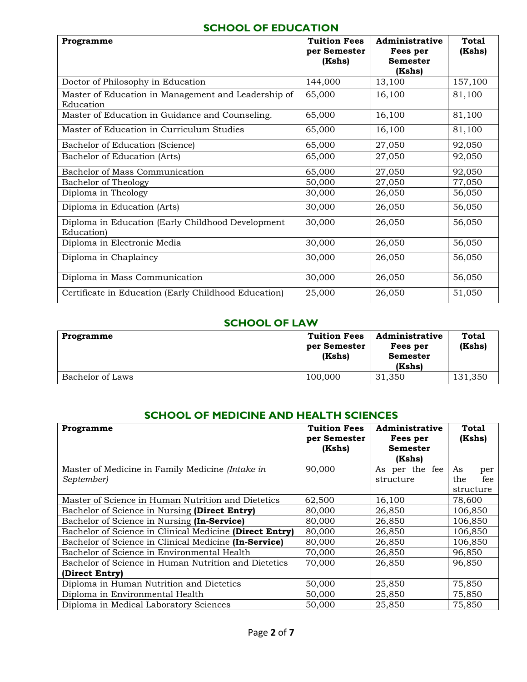## **SCHOOL OF EDUCATION**

| Programme                                                       | <b>Tuition Fees</b> | Administrative  | <b>Total</b> |
|-----------------------------------------------------------------|---------------------|-----------------|--------------|
|                                                                 | per Semester        | Fees per        | (Kshs)       |
|                                                                 | (Kshs)              | <b>Semester</b> |              |
|                                                                 |                     | (Kshs)          |              |
| Doctor of Philosophy in Education                               | 144,000             | 13,100          | 157,100      |
| Master of Education in Management and Leadership of             | 65,000              | 16,100          | 81,100       |
| Education                                                       |                     |                 |              |
| Master of Education in Guidance and Counseling.                 | 65,000              | 16,100          | 81,100       |
| Master of Education in Curriculum Studies                       | 65,000              | 16,100          | 81,100       |
| Bachelor of Education (Science)                                 | 65,000              | 27,050          | 92,050       |
| Bachelor of Education (Arts)                                    | 65,000              | 27,050          | 92,050       |
| Bachelor of Mass Communication                                  | 65,000              | 27,050          | 92,050       |
| Bachelor of Theology                                            | 50,000              | 27,050          | 77,050       |
| Diploma in Theology                                             | 30,000              | 26,050          | 56,050       |
| Diploma in Education (Arts)                                     | 30,000              | 26,050          | 56,050       |
| Diploma in Education (Early Childhood Development<br>Education) | 30,000              | 26,050          | 56,050       |
| Diploma in Electronic Media                                     | 30,000              | 26,050          | 56,050       |
| Diploma in Chaplaincy                                           | 30,000              | 26,050          | 56,050       |
| Diploma in Mass Communication                                   | 30,000              | 26,050          | 56,050       |
| Certificate in Education (Early Childhood Education)            | 25,000              | 26,050          | 51,050       |

## **SCHOOL OF LAW**

| Programme        | <b>Tuition Fees</b><br>per Semester<br>(Kshs) | Administrative<br>Fees per<br><b>Semester</b><br>(Kshs) | <b>Total</b><br>(Kshs) |
|------------------|-----------------------------------------------|---------------------------------------------------------|------------------------|
| Bachelor of Laws | 100,000                                       | 31,350                                                  | 131,350                |

#### **SCHOOL OF MEDICINE AND HEALTH SCIENCES**

| Programme                                               | <b>Tuition Fees</b><br>per Semester<br>(Kshs) | Administrative<br>Fees per<br><b>Semester</b><br>(Kshs) | Total<br>(Kshs) |
|---------------------------------------------------------|-----------------------------------------------|---------------------------------------------------------|-----------------|
| Master of Medicine in Family Medicine (Intake in        | 90,000                                        | As per the fee                                          | As<br>per       |
| September)                                              |                                               | structure                                               | the<br>fee      |
|                                                         |                                               |                                                         | structure       |
| Master of Science in Human Nutrition and Dietetics      | 62,500                                        | 16,100                                                  | 78,600          |
| Bachelor of Science in Nursing (Direct Entry)           | 80,000                                        | 26,850                                                  | 106,850         |
| Bachelor of Science in Nursing (In-Service)             | 80,000                                        | 26,850                                                  | 106,850         |
| Bachelor of Science in Clinical Medicine (Direct Entry) | 80,000                                        | 26,850                                                  | 106,850         |
| Bachelor of Science in Clinical Medicine (In-Service)   | 80,000                                        | 26,850                                                  | 106,850         |
| Bachelor of Science in Environmental Health             | 70,000                                        | 26,850                                                  | 96,850          |
| Bachelor of Science in Human Nutrition and Dietetics    | 70,000                                        | 26,850                                                  | 96,850          |
| (Direct Entry)                                          |                                               |                                                         |                 |
| Diploma in Human Nutrition and Dietetics                | 50,000                                        | 25,850                                                  | 75,850          |
| Diploma in Environmental Health                         | 50,000                                        | 25,850                                                  | 75,850          |
| Diploma in Medical Laboratory Sciences                  | 50,000                                        | 25,850                                                  | 75,850          |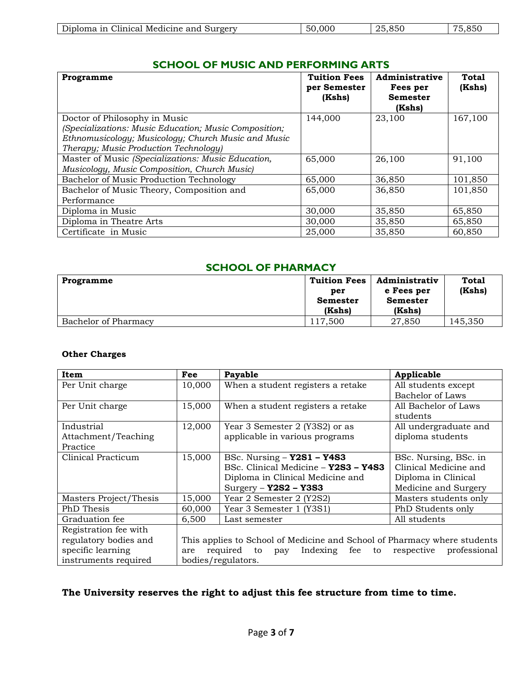| าท<br>and<br>Surgery<br>Medicine<br>50<br>$-1$<br>$\Omega$<br>$\overline{\phantom{a}}$<br> | Diploma<br>linical. | .000 | 850 | $\sim$ $\sim$ $\sim$ |
|--------------------------------------------------------------------------------------------|---------------------|------|-----|----------------------|

## **SCHOOL OF MUSIC AND PERFORMING ARTS**

| Programme                                             | <b>Tuition Fees</b> | Administrative  | <b>Total</b> |
|-------------------------------------------------------|---------------------|-----------------|--------------|
|                                                       | per Semester        | Fees per        | (Kshs)       |
|                                                       | (Kshs)              | <b>Semester</b> |              |
|                                                       |                     | (Kshs)          |              |
| Doctor of Philosophy in Music                         | 144,000             | 23,100          | 167,100      |
| (Specializations: Music Education; Music Composition; |                     |                 |              |
| Ethnomusicology; Musicology; Church Music and Music   |                     |                 |              |
| Therapy; Music Production Technology)                 |                     |                 |              |
| Master of Music (Specializations: Music Education,    | 65,000              | 26,100          | 91,100       |
| Musicology, Music Composition, Church Music)          |                     |                 |              |
| Bachelor of Music Production Technology               | 65,000              | 36,850          | 101,850      |
| Bachelor of Music Theory, Composition and             | 65,000              | 36,850          | 101,850      |
| Performance                                           |                     |                 |              |
| Diploma in Music                                      | 30,000              | 35,850          | 65,850       |
| Diploma in Theatre Arts                               | 30,000              | 35,850          | 65,850       |
| Certificate in Music                                  | 25,000              | 35,850          | 60,850       |

## **SCHOOL OF PHARMACY**

| Programme            | <b>Tuition Fees</b><br>per<br><b>Semester</b><br>(Kshs) | <b>Administrativ</b><br>e Fees per<br><b>Semester</b><br>(Kshs) | <b>Total</b><br>(Kshs) |
|----------------------|---------------------------------------------------------|-----------------------------------------------------------------|------------------------|
| Bachelor of Pharmacy | 117.500                                                 | 27,850                                                          | 145,350                |

#### **Other Charges**

| Item                   | Fee    | Payable                                                                  | Applicable              |
|------------------------|--------|--------------------------------------------------------------------------|-------------------------|
| Per Unit charge        | 10,000 | When a student registers a retake                                        | All students except     |
|                        |        |                                                                          | <b>Bachelor</b> of Laws |
| Per Unit charge        | 15,000 | When a student registers a retake                                        | All Bachelor of Laws    |
|                        |        |                                                                          | students                |
| Industrial             | 12,000 | Year 3 Semester 2 (Y3S2) or as                                           | All undergraduate and   |
| Attachment/Teaching    |        | applicable in various programs                                           | diploma students        |
| Practice               |        |                                                                          |                         |
| Clinical Practicum     | 15,000 | BSc. Nursing $-$ Y2S1 $-$ Y4S3                                           | BSc. Nursing, BSc. in   |
|                        |        | BSc. Clinical Medicine - Y2S3 - Y4S3                                     | Clinical Medicine and   |
|                        |        | Diploma in Clinical Medicine and                                         | Diploma in Clinical     |
|                        |        | $Surgery - Y2S2 - Y3S3$                                                  | Medicine and Surgery    |
| Masters Project/Thesis | 15,000 | Year 2 Semester 2 (Y2S2)                                                 | Masters students only   |
| PhD Thesis             | 60,000 | Year 3 Semester 1 (Y3S1)                                                 | PhD Students only       |
| Graduation fee         | 6,500  | Last semester                                                            | All students            |
| Registration fee with  |        |                                                                          |                         |
| regulatory bodies and  |        | This applies to School of Medicine and School of Pharmacy where students |                         |
| specific learning      | are    | Indexing fee to respective<br>required to<br>pay                         | professional            |
| instruments required   |        | bodies/regulators.                                                       |                         |

## **The University reserves the right to adjust this fee structure from time to time.**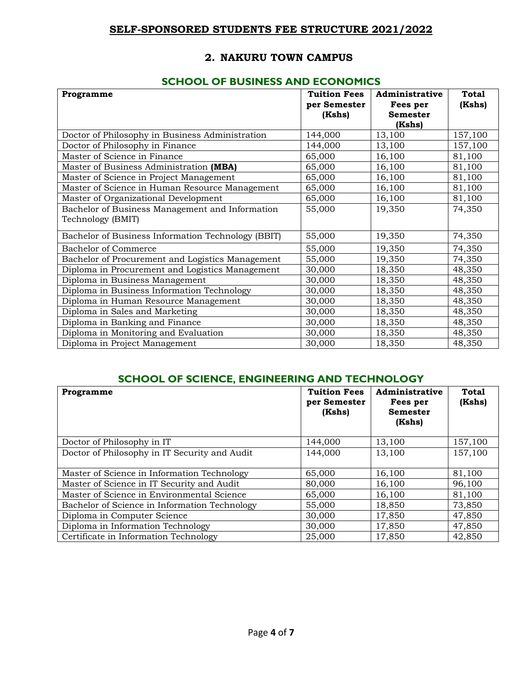## **SELF-SPONSORED STUDENTS FEE STRUCTURE 2021/2022**

## **2. NAKURU TOWN CAMPUS**

## **SCHOOL OF BUSINESS AND ECONOMICS**

| Programme                                          | <b>Tuition Fees</b> | Administrative  | <b>Total</b> |
|----------------------------------------------------|---------------------|-----------------|--------------|
|                                                    | per Semester        | Fees per        | (Kshs)       |
|                                                    | (Kshs)              | <b>Semester</b> |              |
|                                                    |                     | (Kshs)          |              |
| Doctor of Philosophy in Business Administration    | 144,000             | 13,100          | 157,100      |
| Doctor of Philosophy in Finance                    | 144,000             | 13,100          | 157,100      |
| Master of Science in Finance                       | 65,000              | 16,100          | 81,100       |
| Master of Business Administration (MBA)            | 65,000              | 16,100          | 81,100       |
| Master of Science in Project Management            | 65,000              | 16,100          | 81,100       |
| Master of Science in Human Resource Management     | 65,000              | 16,100          | 81,100       |
| Master of Organizational Development               | 65,000              | 16,100          | 81,100       |
| Bachelor of Business Management and Information    | 55,000              | 19,350          | 74,350       |
| Technology (BMIT)                                  |                     |                 |              |
| Bachelor of Business Information Technology (BBIT) | 55,000              | 19,350          | 74,350       |
| <b>Bachelor of Commerce</b>                        | 55,000              | 19,350          | 74,350       |
| Bachelor of Procurement and Logistics Management   | 55,000              | 19,350          | 74,350       |
| Diploma in Procurement and Logistics Management    | 30,000              | 18,350          | 48,350       |
| Diploma in Business Management                     | 30,000              | 18,350          | 48,350       |
| Diploma in Business Information Technology         | 30,000              | 18,350          | 48,350       |
| Diploma in Human Resource Management               | 30,000              | 18,350          | 48,350       |
| Diploma in Sales and Marketing                     | 30,000              | 18,350          | 48,350       |
| Diploma in Banking and Finance                     | 30,000              | 18,350          | 48,350       |
| Diploma in Monitoring and Evaluation               | 30,000              | 18,350          | 48,350       |
| Diploma in Project Management                      | 30,000              | 18,350          | 48,350       |

## **SCHOOL OF SCIENCE, ENGINEERING AND TECHNOLOGY**

| Programme                                     | <b>Tuition Fees</b><br>per Semester<br>(Kshs) | Administrative<br>Fees per<br>Semester<br>(Kshs) | Total<br>(Kshs) |
|-----------------------------------------------|-----------------------------------------------|--------------------------------------------------|-----------------|
| Doctor of Philosophy in IT                    | 144,000                                       | 13,100                                           | 157,100         |
| Doctor of Philosophy in IT Security and Audit | 144,000                                       | 13,100                                           | 157,100         |
| Master of Science in Information Technology   | 65,000                                        | 16.100                                           | 81,100          |
| Master of Science in IT Security and Audit    | 80,000                                        | 16.100                                           | 96,100          |
| Master of Science in Environmental Science    | 65,000                                        | 16,100                                           | 81,100          |
| Bachelor of Science in Information Technology | 55,000                                        | 18,850                                           | 73,850          |
| Diploma in Computer Science                   | 30,000                                        | 17,850                                           | 47,850          |
| Diploma in Information Technology             | 30,000                                        | 17,850                                           | 47,850          |
| Certificate in Information Technology         | 25,000                                        | 17,850                                           | 42,850          |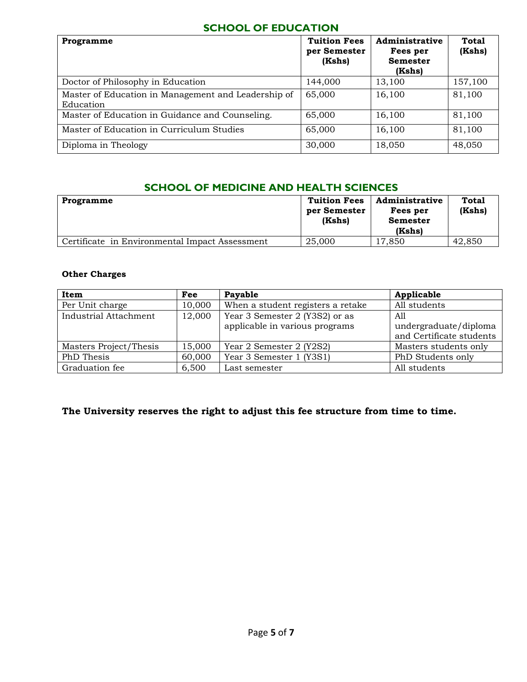## **SCHOOL OF EDUCATION**

| Programme                                                        | <b>Tuition Fees</b><br>per Semester<br>(Kshs) | Administrative<br>Fees per<br><b>Semester</b><br>(Kshs) | <b>Total</b><br>(Kshs) |
|------------------------------------------------------------------|-----------------------------------------------|---------------------------------------------------------|------------------------|
| Doctor of Philosophy in Education                                | 144,000                                       | 13,100                                                  | 157,100                |
| Master of Education in Management and Leadership of<br>Education | 65,000                                        | 16,100                                                  | 81,100                 |
| Master of Education in Guidance and Counseling.                  | 65,000                                        | 16,100                                                  | 81,100                 |
| Master of Education in Curriculum Studies                        | 65,000                                        | 16,100                                                  | 81,100                 |
| Diploma in Theology                                              | 30,000                                        | 18,050                                                  | 48,050                 |

# **SCHOOL OF MEDICINE AND HEALTH SCIENCES**

| Programme                                      | <b>Tuition Fees</b><br>per Semester<br>(Kshs) | Administrative<br>Fees per<br><b>Semester</b><br>(Kshs) | <b>Total</b><br>(Kshs) |
|------------------------------------------------|-----------------------------------------------|---------------------------------------------------------|------------------------|
| Certificate in Environmental Impact Assessment | 25,000                                        | 17.850                                                  | 42,850                 |

#### **Other Charges**

| Item                   | Fee    | Payable                                                          | Applicable                                               |
|------------------------|--------|------------------------------------------------------------------|----------------------------------------------------------|
| Per Unit charge        | 10,000 | When a student registers a retake                                | All students                                             |
| Industrial Attachment  | 12,000 | Year 3 Semester 2 (Y3S2) or as<br>applicable in various programs | A11<br>undergraduate/diploma<br>and Certificate students |
| Masters Project/Thesis | 15,000 | Year 2 Semester 2 (Y2S2)                                         | Masters students only                                    |
| PhD Thesis             | 60,000 | Year 3 Semester 1 (Y3S1)                                         | PhD Students only                                        |
| Graduation fee         | 6,500  | Last semester                                                    | All students                                             |

# **The University reserves the right to adjust this fee structure from time to time.**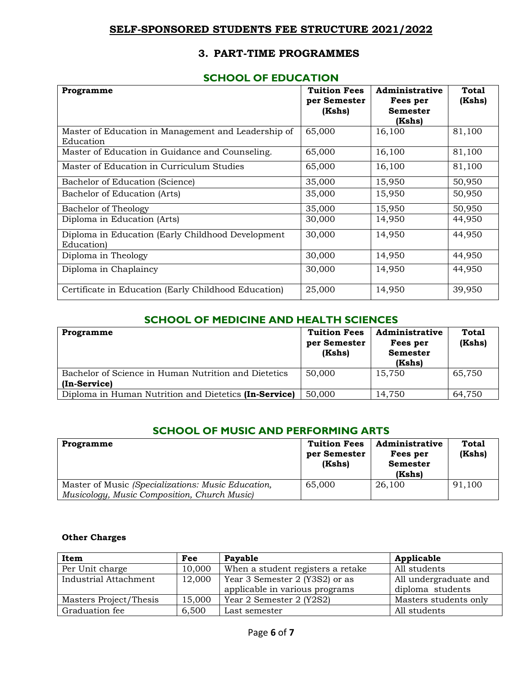## **SELF-SPONSORED STUDENTS FEE STRUCTURE 2021/2022**

## **3. PART-TIME PROGRAMMES**

#### **SCHOOL OF EDUCATION**

| Programme                                                        | <b>Tuition Fees</b><br>per Semester<br>(Kshs) | Administrative<br>Fees per<br><b>Semester</b><br>(Kshs) | Total<br>(Kshs) |
|------------------------------------------------------------------|-----------------------------------------------|---------------------------------------------------------|-----------------|
| Master of Education in Management and Leadership of<br>Education | 65,000                                        | 16,100                                                  | 81,100          |
| Master of Education in Guidance and Counseling.                  | 65,000                                        | 16,100                                                  | 81,100          |
| Master of Education in Curriculum Studies                        | 65,000                                        | 16,100                                                  | 81,100          |
| Bachelor of Education (Science)                                  | 35,000                                        | 15,950                                                  | 50,950          |
| Bachelor of Education (Arts)                                     | 35,000                                        | 15,950                                                  | 50,950          |
| Bachelor of Theology                                             | 35,000                                        | 15,950                                                  | 50,950          |
| Diploma in Education (Arts)                                      | 30,000                                        | 14,950                                                  | 44,950          |
| Diploma in Education (Early Childhood Development<br>Education)  | 30,000                                        | 14,950                                                  | 44,950          |
| Diploma in Theology                                              | 30,000                                        | 14,950                                                  | 44,950          |
| Diploma in Chaplaincy                                            | 30,000                                        | 14,950                                                  | 44,950          |
| Certificate in Education (Early Childhood Education)             | 25,000                                        | 14,950                                                  | 39,950          |

## **SCHOOL OF MEDICINE AND HEALTH SCIENCES**

| Programme                                                            | <b>Tuition Fees</b><br>per Semester<br>(Kshs) | Administrative<br>Fees per<br><b>Semester</b><br>(Kshs) | <b>Total</b><br>(Kshs) |
|----------------------------------------------------------------------|-----------------------------------------------|---------------------------------------------------------|------------------------|
| Bachelor of Science in Human Nutrition and Dietetics<br>(In-Service) | 50,000                                        | 15,750                                                  | 65,750                 |
| Diploma in Human Nutrition and Dietetics (In-Service)                | 50,000                                        | 14.750                                                  | 64,750                 |

#### **SCHOOL OF MUSIC AND PERFORMING ARTS**

| Programme                                                                                          | <b>Tuition Fees</b><br>per Semester<br>(Kshs) | Administrative<br>Fees per<br><b>Semester</b><br>(Kshs) | <b>Total</b><br>(Kshs) |
|----------------------------------------------------------------------------------------------------|-----------------------------------------------|---------------------------------------------------------|------------------------|
| Master of Music (Specializations: Music Education,<br>Musicology, Music Composition, Church Music) | 65,000                                        | 26,100                                                  | 91,100                 |

#### **Other Charges**

| Item                   | Fee    | Payable                           | Applicable            |
|------------------------|--------|-----------------------------------|-----------------------|
| Per Unit charge        | 10,000 | When a student registers a retake | All students          |
| Industrial Attachment  | 12,000 | Year 3 Semester 2 (Y3S2) or as    | All undergraduate and |
|                        |        | applicable in various programs    | diploma students      |
| Masters Project/Thesis | 15,000 | Year 2 Semester 2 (Y2S2)          | Masters students only |
| Graduation fee         | 6,500  | Last semester                     | All students          |